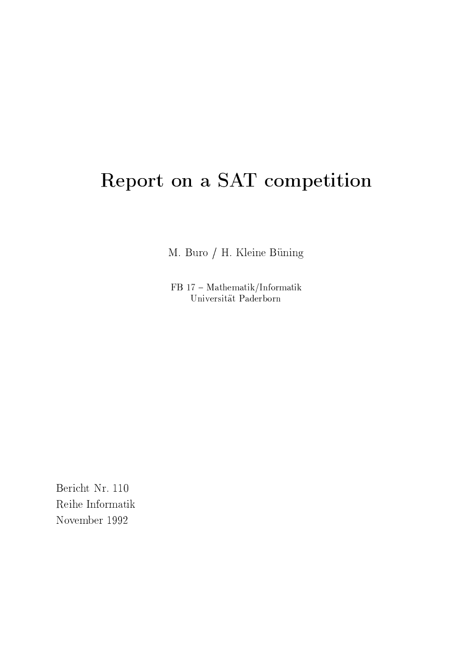# Report on a SAT competition

M. Buro / H. Kleine Büning

 $FB 17 - Mathematik/Informatik$ Universität Paderborn

Bericht Nr. 110 Reihe Informatik November 1992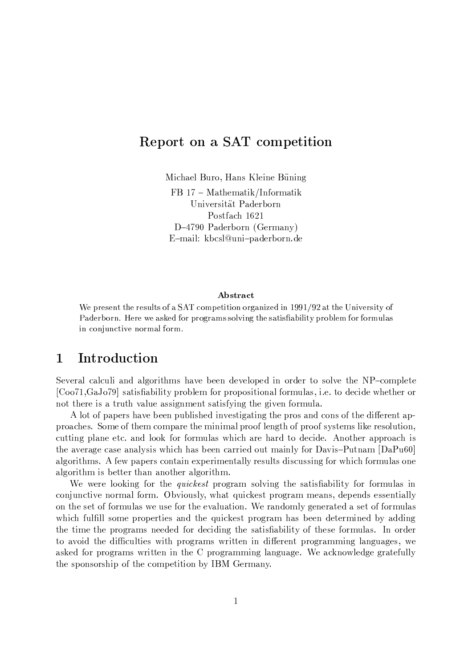# Report on a SAT competition

Michael Buro, Hans Kleine Büning

 $FB 17 - Mathematik/Informatik$ Universität Paderborn Postfach 1621  $D-4790$  Paderborn (Germany) E-mail: kbcsl@uni-paderborn.de

### Abstract

We present the results of a SAT competition organized in 1991/92 at the University of Paderborn. Here we asked for programs solving the satisfiability problem for formulas in conjunctive normal form.

#### $\mathbf{1}$ Introduction

Several calculi and algorithms have been developed in order to solve the NP-complete [Coo71,GaJo79] satisfiability problem for propositional formulas, i.e. to decide whether or not there is a truth value assignment satisfying the given formula.

A lot of papers have been published investigating the pros and cons of the different approaches. Some of them compare the minimal proof length of proof systems like resolution, cutting plane etc. and look for formulas which are hard to decide. Another approach is the average case analysis which has been carried out mainly for Davis-Putnam [DaPu60] algorithms. A few papers contain experimentally results discussing for which formulas one algorithm is better than another algorithm.

We were looking for the *quickest* program solving the satisfiability for formulas in conjunctive normal form. Obviously, what quickest program means, depends essentially on the set of formulas we use for the evaluation. We randomly generated a set of formulas which fulfill some properties and the quickest program has been determined by adding the time the programs needed for deciding the satisfiability of these formulas. In order to avoid the difficulties with programs written in different programming languages, we asked for programs written in the C programming language. We acknowledge gratefully the sponsorship of the competition by IBM Germany.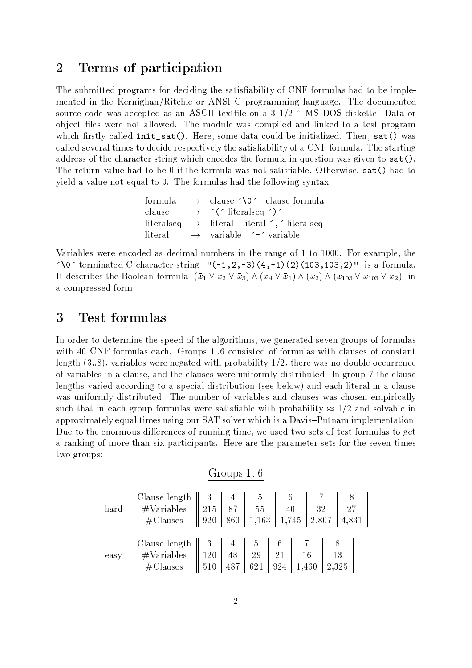#### Terms of participation  $\overline{2}$

The submitted programs for deciding the satisfiability of CNF formulas had to be implemented in the Kernighan/Ritchie or ANSI C programming language. The documented source code was accepted as an ASCII textfile on a 3 1/2 " MS DOS diskette. Data or object files were not allowed. The module was compiled and linked to a test program which firstly called init\_sat(). Here, some data could be initialized. Then, sat() was called several times to decide respectively the satisfiability of a CNF formula. The starting address of the character string which encodes the formula in question was given to  $sat()$ . The return value had to be  $0$  if the formula was not satisfiable. Otherwise,  $\text{sat}()$  had to yield a value not equal to 0. The formulas had the following syntax:

|  | formula $\rightarrow$ clause $\sqrt{0}$   clause formula     |
|--|--------------------------------------------------------------|
|  | clause $\rightarrow$ '('literalseq')'                        |
|  | literalseq $\rightarrow$ literal literal ', 'literalseq      |
|  | $\text{literal} \rightarrow \text{variable}$ $\sim$ variable |

Variables were encoded as decimal numbers in the range of 1 to 1000. For example, the  $\sqrt{0}$  terminated C character string "(-1,2,-3)(4,-1)(2)(103,103,2)" is a formula. It describes the Boolean formula  $(\bar{x}_1 \vee x_2 \vee \bar{x}_3) \wedge (x_4 \vee \bar{x}_1) \wedge (x_2) \wedge (x_{103} \vee x_{103} \vee x_2)$  in a compressed form.

#### 3 Test formulas

In order to determine the speed of the algorithms, we generated seven groups of formulas with 40 CNF formulas each. Groups 1..6 consisted of formulas with clauses of constant length  $(3.8)$ , variables were negated with probability  $1/2$ , there was no double occurrence of variables in a clause, and the clauses were uniformly distributed. In group 7 the clause lengths varied according to a special distribution (see below) and each literal in a clause was uniformly distributed. The number of variables and clauses was chosen empirically such that in each group formulas were satisfiable with probability  $\approx 1/2$  and solvable in approximately equal times using our SAT solver which is a Davis-Putnam implementation. Due to the enormous differences of running time, we used two sets of test formulas to get a ranking of more than six participants. Here are the parameter sets for the seven times two groups:

|      |                                                 |                 | Groups 10 |                |     |                                                                                                                |       |       |  |
|------|-------------------------------------------------|-----------------|-----------|----------------|-----|----------------------------------------------------------------------------------------------------------------|-------|-------|--|
|      | Clause length                                   |                 | 4         | 5              |     |                                                                                                                |       |       |  |
| hard |                                                 | $\parallel$ 215 |           |                |     |                                                                                                                |       | 27    |  |
|      | $\frac{\# \text{Variables}}{\# \text{Classes}}$ | $\parallel$ 920 |           |                |     | $\begin{array}{ c c c c c }\hline 87 & 55 & 40 & 32 \ \hline 860 & 1,163 & 1,745 & 2,807 \ \hline \end{array}$ |       | 4,831 |  |
|      |                                                 |                 |           |                |     |                                                                                                                |       |       |  |
|      | Clause length $\parallel$                       |                 | 4         | $\mathfrak{d}$ |     |                                                                                                                |       |       |  |
| easy | #Variables                                      | 120             | 48        | 29             | 21  |                                                                                                                | 16    | 13    |  |
|      | $#$ Clauses                                     | 510             | 487       | 621            | 924 |                                                                                                                | 1,460 | 2,325 |  |

 $1 \quad C$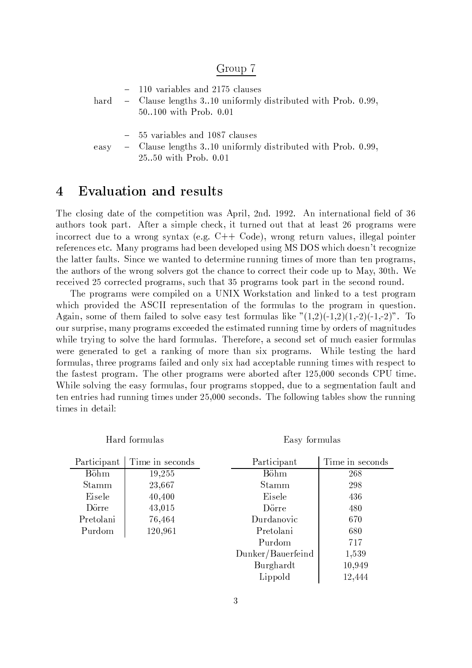### Group 7

|  | $-110$ variables and 2175 clauses<br>hard - Clause lengths 310 uniformly distributed with Prob. 0.99,<br>$50100$ with Prob. $0.01$ |
|--|------------------------------------------------------------------------------------------------------------------------------------|
|  | - 55 variables and 1087 clauses                                                                                                    |
|  | easy - Clause lengths 3.10 uniformly distributed with Prob. 0.99,                                                                  |

Evaluation and results

Hard formulas

 $\overline{4}$ 

25..50 with Prob. 0.01

### The closing date of the competition was April, 2nd. 1992. An international field of 36 authors took part. After a simple check, it turned out that at least 26 programs were incorrect due to a wrong syntax (e.g.  $C++$  Code), wrong return values, illegal pointer references etc. Many programs had been developed using MS DOS which doesn't recognize the latter faults. Since we wanted to determine running times of more than ten programs, the authors of the wrong solvers got the chance to correct their code up to May, 30th. We received 25 corrected programs, such that 35 programs took part in the second round.

The programs were compiled on a UNIX Workstation and linked to a test program which provided the ASCII representation of the formulas to the program in question. Again, some of them failed to solve easy test formulas like  $(1,2)(-1,2)(1,-2)(-1,-2)^n$ . To our surprise, many programs exceeded the estimated running time by orders of magnitudes while trying to solve the hard formulas. Therefore, a second set of much easier formulas were generated to get a ranking of more than six programs. While testing the hard formulas, three programs failed and only six had acceptable running times with respect to the fastest program. The other programs were aborted after 125,000 seconds CPU time. While solving the easy formulas, four programs stopped, due to a segmentation fault and ten entries had running times under 25,000 seconds. The following tables show the running times in detail:

Easy formulas

| Participant | Time in seconds | Participant       | Time in seconds |
|-------------|-----------------|-------------------|-----------------|
| Böhm        | 19,255          | Böhm              | 268             |
| Stamm       | 23,667          | Stamm             | 298             |
| Eisele      | 40,400          | Eisele            | 436             |
| Dörre       | 43,015          | Dörre             | 480             |
| Pretolani   | 76,464          | Durdanovic        | 670             |
| Purdom      | 120,961         | Pretolani         | 680             |
|             |                 | Purdom            | 717             |
|             |                 | Dunker/Bauerfeind | 1,539           |
|             |                 | Burghardt         | 10,949          |
|             |                 | Lippold           | 12,444          |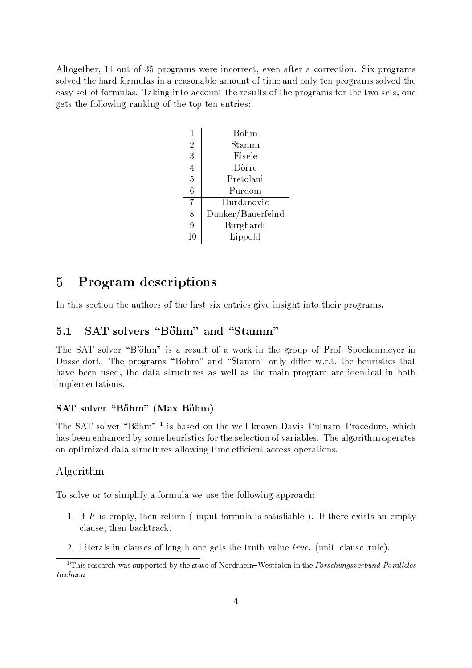$\mathbb{R}$  as a constant of  $\mathbb{R}$  as a constant  $\mathbb{R}$  . The constant of  $\mathbb{R}$ solved the hard formulas in a reasonable amount of time and only ten programs solved the easy set of formulas. Taking into account the results of the programs for the two sets, one gets the following ranking of the top ten entries:

|                | Böhm                   |
|----------------|------------------------|
| $\overline{2}$ | $\operatorname{Stamm}$ |
| 3              | Eisele                 |
| $\overline{4}$ | Dörre                  |
| $\overline{5}$ | Pretolani              |
| $\overline{6}$ | Purdom                 |
| 7              | Durdanovic             |
| 8              | Dunker/Bauerfeind      |
| 9              | Burghardt              |
| 10             | Lippold                |

#### $\overline{5}$ J-J »UJ,T @,

In this section the authors of the first six entries give insight into their programs.

#### $5.1$   ! #"#\$%& ' ()\$ # #"

>A@ 9 <sup>Z</sup> N]GWX@!O+\*[4 Nb>VB \ iD0Z <pOq@bZA "=N8L <sup>&</sup>lt; NbOEFDGK=?>A@¥(bOqN\* "EN^L \_OQN8LcF EI@]FX@YKVB@8X@uO:DSK .R\ IZ[ZQ@,aANbOLcF >A@¦EVOQNo(bO[<8BZ,\*[4Nb>+B \ .<^K+a-\* =q<^BCB NbK"8aMD¢y@!OpF O,F =F=?>A@ >A@, VO[D0ZE=ED!Z =?>+<!= have been used, the data structures as well as the main program are identical in both implementations.

### SAT solver "Böhm" (Max Böhm)

 $\overline{a}$  and  $\overline{a}$  and  $\overline{a}$  and  $\overline{a}$  and  $\overline{a}$  and  $\overline{a}$  and  $\overline{a}$ has been enhanced by some heuristics for the selection of variables. The algorithm operates on optimized data structures allowing time efficient access operations.

### Algorithm

-NCZEN`SWX@ NbO <sup>=</sup> NjZQDGBE)SD L8 <sup>&</sup>lt; L0NbOqB " <p@p IZQ@ =?>A@ L0N`GN]lDGK9(R<`E9EVOqNX<\*[> <sup>&</sup>gt;

- 1. If F is empty, then return (input formula is satisfiable). If there exists an empty clause, then backtrack.
- 2. Literals in clauses of length one gets the truth value  $true$ . (unit-clause-rule).

<sup>&</sup>lt;sup>1</sup>This research was supported by the state of Nordrhein-Westfalen in the Forschungsverbund Paralleles  $Rechnen$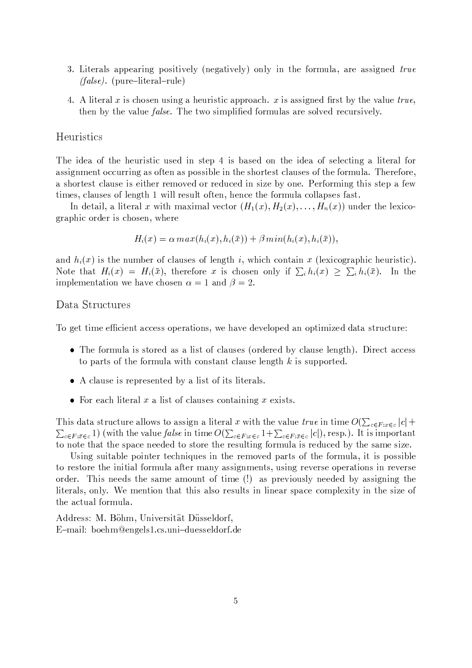- 3. Literals appearing positively (negatively) only in the formula, are assigned true  $(false)$ . (pure-literal-rule)
- 4. A literal x is chosen using a heuristic approach. x is assigned first by the value true, then by the value *false*. The two simplified formulas are solved recursively.

### Heuristics

The idea of the heuristic used in step 4 is based on the idea of selecting a literal for assignment occurring as often as possible in the shortest clauses of the formula. Therefore, a shortest clause is either removed or reduced in size by one. Performing this step a few times, clauses of length 1 will result often, hence the formula collapses fast.

In detail, a literal x with maximal vector  $(H_1(x), H_2(x), \ldots, H_n(x))$  under the lexicographic order is chosen, where

$$
H_i(x) = \alpha \, max(h_i(x), h_i(\bar{x})) + \beta \, min(h_i(x), h_i(\bar{x})),
$$

and  $h_i(x)$  is the number of clauses of length i, which contain x (lexicographic heuristic). Note that  $H_i(x) = H_i(\bar{x})$ , therefore x is chosen only if  $\sum_i h_i(x) \geq \sum_i h_i(\bar{x})$ . In the implementation we have chosen  $\alpha = 1$  and  $\beta = 2$ .

### Data Structures

To get time efficient access operations, we have developed an optimized data structure:

- The formula is stored as a list of clauses (ordered by clause length). Direct access to parts of the formula with constant clause length  $k$  is supported.
- A clause is represented by a list of its literals.
- For each literal  $x$  a list of clauses containing  $x$  exists.

This data structure allows to assign a literal x with the value true in time  $O(\sum_{c \in F: x \in c} |c| +$  $\sum_{c \in F: \bar{x} \in c} 1$  (with the value *false* in time  $O(\sum_{c \in F: x \in c} 1 + \sum_{c \in F: \bar{x} \in c} |c|)$ , resp.). It is important to note that the space needed to store the resulting formula is reduced by the same size.

Using suitable pointer techniques in the removed parts of the formula, it is possible to restore the initial formula after many assignments, using reverse operations in reverse order. This needs the same amount of time (!) as previously needed by assigning the literals, only. We mention that this also results in linear space complexity in the size of the actual formula.

Address: M. Böhm, Universität Düsseldorf, E-mail: boehm@engels1.cs.uni-duesseldorf.de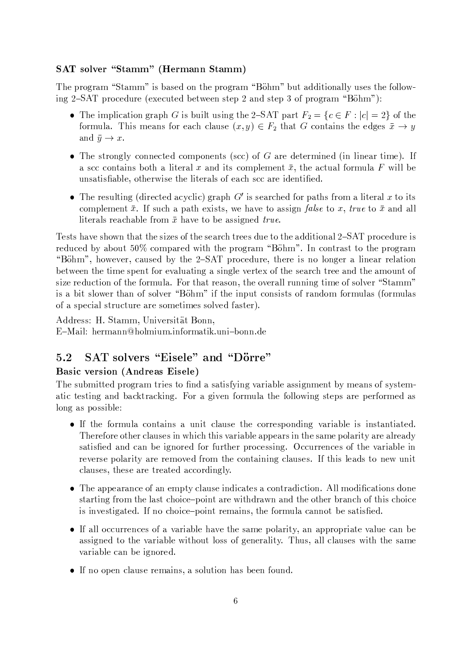### **SAT** solver "Stamm" (Hermann Stamm)

The program "Stamm" is based on the program "Böhm" but additionally uses the following 2–SAT procedure (executed between step 2 and step 3 of program "Böhm"):

- The implication graph G is built using the 2-SAT part  $F_2 = \{c \in F : |c| = 2\}$  of the formula. This means for each clause  $(x, y) \in F_2$  that G contains the edges  $\bar{x} \to y$ and  $\bar{y} \to x$ .
- The strongly connected components (scc) of  $G$  are determined (in linear time). If a scc contains both a literal x and its complement  $\bar{x}$ , the actual formula F will be unsatisfiable, otherwise the literals of each scc are identified.
- The resulting (directed acyclic) graph  $G'$  is searched for paths from a literal x to its complement  $\bar{x}$ . If such a path exists, we have to assign *false* to x, true to  $\bar{x}$  and all literals reachable from  $\bar{x}$  have to be assigned true.

Tests have shown that the sizes of the search trees due to the additional 2-SAT procedure is reduced by about 50% compared with the program "Böhm". In contrast to the program "Böhm", however, caused by the 2-SAT procedure, there is no longer a linear relation between the time spent for evaluating a single vertex of the search tree and the amount of size reduction of the formula. For that reason, the overall running time of solver "Stamm" is a bit slower than of solver "Böhm" if the input consists of random formulas (formulas of a special structure are sometimes solved faster).

Address: H. Stamm, Universität Bonn,

E-Mail: hermann@holmium.informatik.uni-bonn.de

#### SAT solvers "Eisele" and "Dörre"  $5.2$

### **Basic version (Andreas Eisele)**

The submitted program tries to find a satisfying variable assignment by means of systematic testing and backtracking. For a given formula the following steps are performed as long as possible:

- If the formula contains a unit clause the corresponding variable is instantiated. Therefore other clauses in which this variable appears in the same polarity are already satisfied and can be ignored for further processing. Occurrences of the variable in reverse polarity are removed from the containing clauses. If this leads to new unit clauses, these are treated accordingly.
- The appearance of an empty clause indicates a contradiction. All modifications done starting from the last choice-point are withdrawn and the other branch of this choice is investigated. If no choice-point remains, the formula cannot be satisfied.
- If all occurrences of a variable have the same polarity, an appropriate value can be assigned to the variable without loss of generality. Thus, all clauses with the same variable can be ignored.
- If no open clause remains, a solution has been found.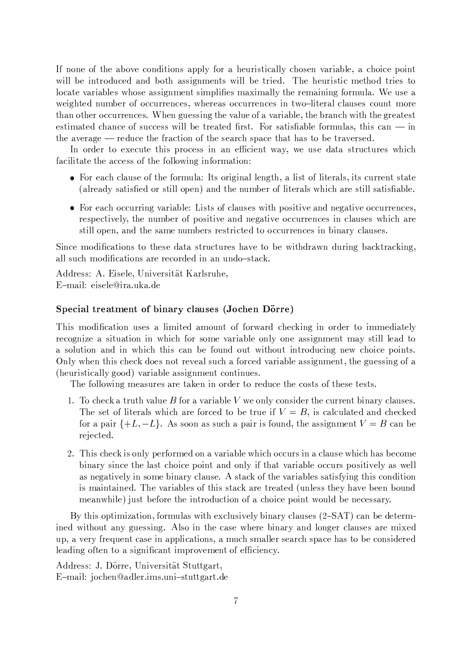If none of the above conditions apply for a heuristically chosen variable, a choice point will be introduced and both assignments will be tried. The heuristic method tries to locate variables whose assignment simplifies maximally the remaining formula. We use a weighted number of occurrences, whereas occurrences in two-literal clauses count more  $\blacksquare$ estimated chance of success will be treated first. For satisfiable formulas, this can — in =?>A@<]WX@YO[<`(P@- OQ@Pa \$@ =>M@ LO[<\*u= DSNbKCN8L{=?>A@ ZQ@P<^O <sup>&</sup>gt; Z7E <\*@ =?>+<!=l>V<PZ =ENRc @ =qO[<!WX@!O[ZQ@PaF

In order to execute this process in an efficient way, we use data structures which L<\*DGDG=q<!=E@U=>M@ <o,@PZ[Z N^L&=?>M@ L0N]=SN]lDGK9( DGKML0NPOQBj<]=EDSNbK <sup>&</sup>gt;

- $\Pi = \begin{bmatrix} 1 & 1 & 0 & 0 \end{bmatrix}$  for  $\begin{bmatrix} 1 & 1 & 1 & 1 \end{bmatrix}$  . The contract  $\begin{bmatrix} 1 & 1 & 1 \end{bmatrix}$  is a sequence of  $\begin{bmatrix} 1 & 1 & 1 \end{bmatrix}$ (already satisfied or still open) and the number of literals which are still satisfiable.
- For each occurring variable: Lists of clauses with positive and negative occurrences, respectively, the number of positive and negative occurrences in clauses which are still open, and the same numbers restricted to occurrences in binary clauses.

 DSK;@RBCNAaMD!<!= DSNbKIZ <sup>=</sup> <sup>N</sup> =?>A@bZQ@jaA<]=q< <sup>Z</sup> =QOc "u=7 +OQ@PZ >V<!WX@ =ENicI@»lDG=?>+aMO[<]lKaX VO[DGK9( cI<\*[FM=qO[<oFADGK9("! all such modifications are recorded in an undo-stack.

Address: A. Eisele, Universität Karlsruhe, E-mail: eisele@ira.uka.de

#### $\mathcal{O}$  :  $\mathcal{O}$  +  $\mathcal{O}$  +  $\mathcal{O}$  +  $\mathcal{O}$  +  $\mathcal{O}$  +  $\mathcal{O}$  +  $\mathcal{O}$  +  $\mathcal{O}$  +  $\mathcal{O}$  +  $\mathcal{O}$  +  $\mathcal{O}$  +  $\mathcal{O}$  +  $\mathcal{O}$  +  $\mathcal{O}$  +  $\mathcal{O}$  +  $\mathcal{O}$  +  $\mathcal{O}$  +  $\mathcal{O}$  +  $\mathcal{O}$  +

This modification uses a limited amount of forward checking in order to immediately recognize a situation in which for some variable only one assignment may still lead to a solution and in which this can be found out without introducing new choice points. Only when this check does not reveal such a forced variable assignment, the guessing of a (heuristically good) variable assignment continues.

The following measures are taken in order to reduce the costs of these tests.

- 1. To check a truth value B for a variable V we only consider the current binary clauses. The set of literals which are forced to be true if  $V = B$ , is calculated and checked L0NPOl<EI<8DGO 9F <sup>Z</sup> ZENXNbK <bZ Z7 \$><yEI<8DGO D0ZL0No MK+a!M=>M@ <PZ[ZQD=(PKVB@YKM= ¤!<^Kjc @ rejected.
- 2. This check is only performed on a variable which occurs in a clause which has become binary since the last choice point and only if that variable occurs positively as well as negatively in some binary clause. A stack of the variables satisfying this condition is maintained. The variables of this stack are treated (unless they have been bound meanwhile) just before the introduction of a choice point would be necessary.

48 =?>+D0ZN]EV=EDGBCD 8<!= DSNbK ! L0NPOQB "<bZlDS=?> @,¨\$P= ZQDGWX@,8UcVDSKV<8OL8 <sup>P</sup> <P ZQ@bZ4\_-]9 &:a!<8KcI@ aX@!=E@!OQBȣ ined without any guessing. Also in the case where binary and longer clauses are mixed  $\blacksquare$ leading often to a significant improvement of efficiency.

Address: J. Dörre, Universität Stuttgart, E-mail: jochen@adler.ims.uni-stuttgart.de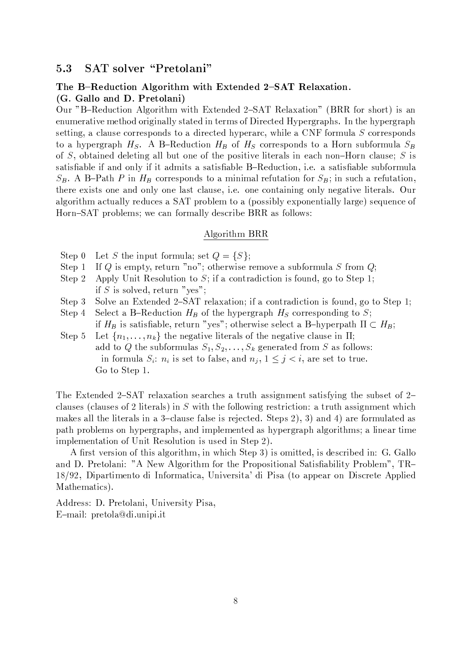#### SAT solver "Pretolani" 5.3

### The B-Reduction Algorithm with Extended 2-SAT Relaxation. (G. Gallo and D. Pretolani)

Our "B-Reduction Algorithm with Extended 2-SAT Relaxation" (BRR for short) is an enumerative method originally stated in terms of Directed Hypergraphs. In the hypergraph setting, a clause corresponds to a directed hyperarc, while a CNF formula S corresponds to a hypergraph  $H_S$ . A B-Reduction  $H_B$  of  $H_S$  corresponds to a Horn subformula  $S_B$ of S, obtained deleting all but one of the positive literals in each non-Horn clause; S is satisfiable if and only if it admits a satisfiable B-Reduction, i.e. a satisfiable subformula  $S_B$ . A B-Path P in  $H_B$  corresponds to a minimal refutation for  $S_B$ ; in such a refutation, there exists one and only one last clause, i.e. one containing only negative literals. Our algorithm actually reduces a SAT problem to a (possibly exponentially large) sequence of Horn-SAT problems; we can formally describe BRR as follows:

#### Algorithm BRR

- Step 0 Let S the input formula; set  $Q = \{S\};$
- If Q is empty, return "no"; otherwise remove a subformula S from  $Q$ ; Step 1
- Apply Unit Resolution to S; if a contradiction is found, go to Step 1; Step 2 if S is solved, return "yes";
- Solve an Extended 2-SAT relaxation; if a contradiction is found, go to Step 1; Step 3
- Select a B-Reduction  $H_B$  of the hypergraph  $H_S$  corresponding to S; Step 4 if  $H_B$  is satisfiable, return "yes"; otherwise select a B–hyperpath  $\Pi\subset H_B;$
- Let  ${n_1, \ldots, n_k}$  the negative literals of the negative clause in  $\Pi$ ; Step 5 add to Q the subformulas  $S_1, S_2, \ldots, S_k$  generated from S as follows: in formula  $S_i$ :  $n_i$  is set to false, and  $n_j$ ,  $1 \leq j \leq i$ , are set to true. Go to Step 1.

The Extended 2–SAT relaxation searches a truth assignment satisfying the subset of  $2$ clauses (clauses of 2 literals) in S with the following restriction: a truth assignment which makes all the literals in a 3-clause false is rejected. Steps 2), 3) and 4) are formulated as path problems on hypergraphs, and implemented as hypergraph algorithms; a linear time implementation of Unit Resolution is used in Step 2).

A first version of this algorithm, in which Step 3) is omitted, is described in: G. Gallo and D. Pretolani: "A New Algorithm for the Propositional Satisfiability Problem", TR-18/92, Dipartimento di Informatica, Universita' di Pisa (to appear on Discrete Applied Mathematics).

Address: D. Pretolani, University Pisa, E-mail: pretola@di.unipi.it